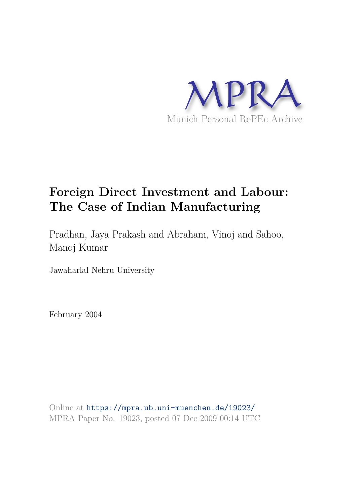

# **Foreign Direct Investment and Labour: The Case of Indian Manufacturing**

Pradhan, Jaya Prakash and Abraham, Vinoj and Sahoo, Manoj Kumar

Jawaharlal Nehru University

February 2004

Online at https://mpra.ub.uni-muenchen.de/19023/ MPRA Paper No. 19023, posted 07 Dec 2009 00:14 UTC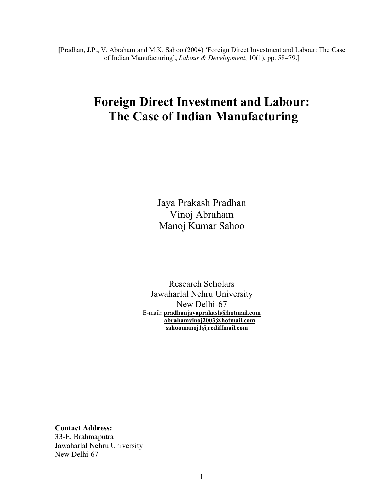[Pradhan, J.P., V. Abraham and M.K. Sahoo (2004) 'Foreign Direct Investment and Labour: The Case of Indian Manufacturing', *Labour & Development*, 10(1), pp. 58**–**79.]

# **Foreign Direct Investment and Labour: The Case of Indian Manufacturing**

Jaya Prakash Pradhan Vinoj Abraham Manoj Kumar Sahoo

Research Scholars Jawaharlal Nehru University New Delhi-67 E-mail**: pradhanjayaprakash@hotmail.com abrahamvinoj2003@hotmail.com sahoomanoj1@rediffmail.com**

**Contact Address:**  33-E, Brahmaputra Jawaharlal Nehru University

New Delhi-67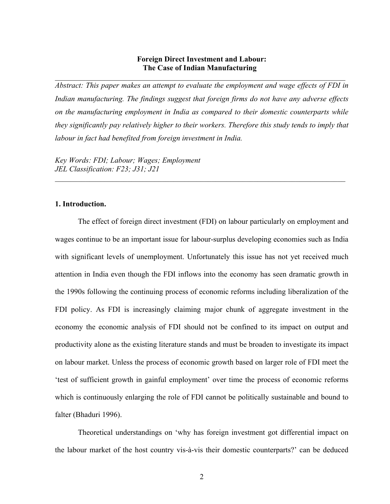# **Foreign Direct Investment and Labour: The Case of Indian Manufacturing**

\_\_\_\_\_\_\_\_\_\_\_\_\_\_\_\_\_\_\_\_\_\_\_\_\_\_\_\_\_\_\_\_\_\_\_\_\_\_\_\_\_\_\_\_\_\_\_\_\_\_\_\_\_\_\_\_\_\_\_\_\_\_\_\_\_\_\_\_\_\_\_\_\_\_\_\_

*Abstract: This paper makes an attempt to evaluate the employment and wage effects of FDI in Indian manufacturing. The findings suggest that foreign firms do not have any adverse effects on the manufacturing employment in India as compared to their domestic counterparts while they significantly pay relatively higher to their workers. Therefore this study tends to imply that labour in fact had benefited from foreign investment in India.* 

\_\_\_\_\_\_\_\_\_\_\_\_\_\_\_\_\_\_\_\_\_\_\_\_\_\_\_\_\_\_\_\_\_\_\_\_\_\_\_\_\_\_\_\_\_\_\_\_\_\_\_\_\_\_\_\_\_\_\_\_\_\_\_\_\_\_\_\_\_\_\_\_\_\_\_\_

*Key Words: FDI; Labour; Wages; Employment JEL Classification: F23; J31; J21* 

# **1. Introduction.**

The effect of foreign direct investment (FDI) on labour particularly on employment and wages continue to be an important issue for labour-surplus developing economies such as India with significant levels of unemployment. Unfortunately this issue has not yet received much attention in India even though the FDI inflows into the economy has seen dramatic growth in the 1990s following the continuing process of economic reforms including liberalization of the FDI policy. As FDI is increasingly claiming major chunk of aggregate investment in the economy the economic analysis of FDI should not be confined to its impact on output and productivity alone as the existing literature stands and must be broaden to investigate its impact on labour market. Unless the process of economic growth based on larger role of FDI meet the 'test of sufficient growth in gainful employment' over time the process of economic reforms which is continuously enlarging the role of FDI cannot be politically sustainable and bound to falter (Bhaduri 1996).

Theoretical understandings on 'why has foreign investment got differential impact on the labour market of the host country vis-à-vis their domestic counterparts?' can be deduced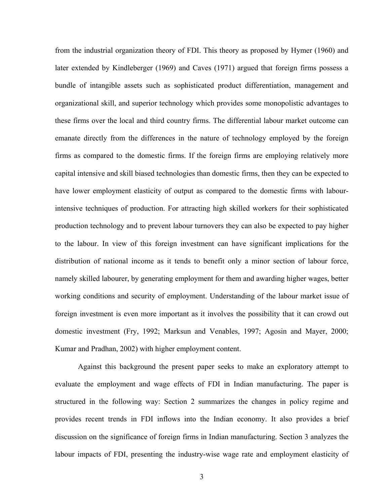from the industrial organization theory of FDI. This theory as proposed by Hymer (1960) and later extended by Kindleberger (1969) and Caves (1971) argued that foreign firms possess a bundle of intangible assets such as sophisticated product differentiation, management and organizational skill, and superior technology which provides some monopolistic advantages to these firms over the local and third country firms. The differential labour market outcome can emanate directly from the differences in the nature of technology employed by the foreign firms as compared to the domestic firms. If the foreign firms are employing relatively more capital intensive and skill biased technologies than domestic firms, then they can be expected to have lower employment elasticity of output as compared to the domestic firms with labourintensive techniques of production. For attracting high skilled workers for their sophisticated production technology and to prevent labour turnovers they can also be expected to pay higher to the labour. In view of this foreign investment can have significant implications for the distribution of national income as it tends to benefit only a minor section of labour force, namely skilled labourer, by generating employment for them and awarding higher wages, better working conditions and security of employment. Understanding of the labour market issue of foreign investment is even more important as it involves the possibility that it can crowd out domestic investment (Fry, 1992; Marksun and Venables, 1997; Agosin and Mayer, 2000; Kumar and Pradhan, 2002) with higher employment content.

Against this background the present paper seeks to make an exploratory attempt to evaluate the employment and wage effects of FDI in Indian manufacturing. The paper is structured in the following way: Section 2 summarizes the changes in policy regime and provides recent trends in FDI inflows into the Indian economy. It also provides a brief discussion on the significance of foreign firms in Indian manufacturing. Section 3 analyzes the labour impacts of FDI, presenting the industry-wise wage rate and employment elasticity of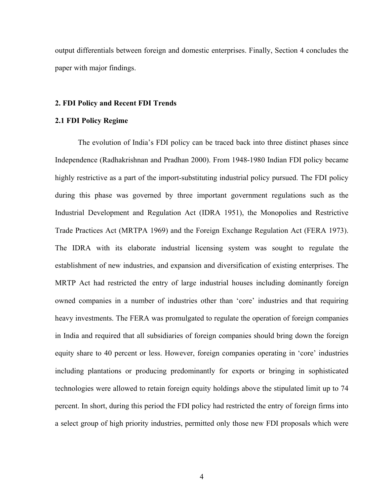output differentials between foreign and domestic enterprises. Finally, Section 4 concludes the paper with major findings.

#### **2. FDI Policy and Recent FDI Trends**

#### **2.1 FDI Policy Regime**

The evolution of India's FDI policy can be traced back into three distinct phases since Independence (Radhakrishnan and Pradhan 2000). From 1948-1980 Indian FDI policy became highly restrictive as a part of the import-substituting industrial policy pursued. The FDI policy during this phase was governed by three important government regulations such as the Industrial Development and Regulation Act (IDRA 1951), the Monopolies and Restrictive Trade Practices Act (MRTPA 1969) and the Foreign Exchange Regulation Act (FERA 1973). The IDRA with its elaborate industrial licensing system was sought to regulate the establishment of new industries, and expansion and diversification of existing enterprises. The MRTP Act had restricted the entry of large industrial houses including dominantly foreign owned companies in a number of industries other than 'core' industries and that requiring heavy investments. The FERA was promulgated to regulate the operation of foreign companies in India and required that all subsidiaries of foreign companies should bring down the foreign equity share to 40 percent or less. However, foreign companies operating in 'core' industries including plantations or producing predominantly for exports or bringing in sophisticated technologies were allowed to retain foreign equity holdings above the stipulated limit up to 74 percent. In short, during this period the FDI policy had restricted the entry of foreign firms into a select group of high priority industries, permitted only those new FDI proposals which were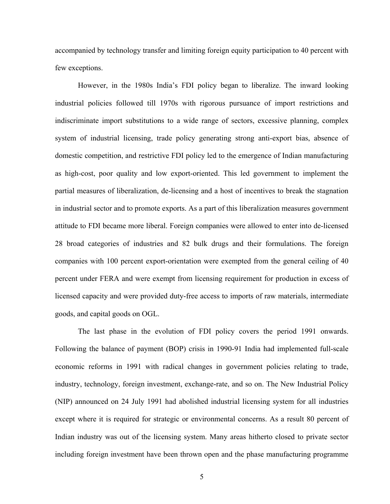accompanied by technology transfer and limiting foreign equity participation to 40 percent with few exceptions.

However, in the 1980s India's FDI policy began to liberalize. The inward looking industrial policies followed till 1970s with rigorous pursuance of import restrictions and indiscriminate import substitutions to a wide range of sectors, excessive planning, complex system of industrial licensing, trade policy generating strong anti-export bias, absence of domestic competition, and restrictive FDI policy led to the emergence of Indian manufacturing as high-cost, poor quality and low export-oriented. This led government to implement the partial measures of liberalization, de-licensing and a host of incentives to break the stagnation in industrial sector and to promote exports. As a part of this liberalization measures government attitude to FDI became more liberal. Foreign companies were allowed to enter into de-licensed 28 broad categories of industries and 82 bulk drugs and their formulations. The foreign companies with 100 percent export-orientation were exempted from the general ceiling of 40 percent under FERA and were exempt from licensing requirement for production in excess of licensed capacity and were provided duty-free access to imports of raw materials, intermediate goods, and capital goods on OGL.

The last phase in the evolution of FDI policy covers the period 1991 onwards. Following the balance of payment (BOP) crisis in 1990-91 India had implemented full-scale economic reforms in 1991 with radical changes in government policies relating to trade, industry, technology, foreign investment, exchange-rate, and so on. The New Industrial Policy (NIP) announced on 24 July 1991 had abolished industrial licensing system for all industries except where it is required for strategic or environmental concerns. As a result 80 percent of Indian industry was out of the licensing system. Many areas hitherto closed to private sector including foreign investment have been thrown open and the phase manufacturing programme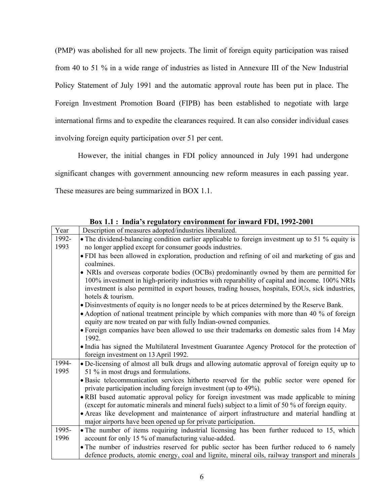(PMP) was abolished for all new projects. The limit of foreign equity participation was raised from 40 to 51 % in a wide range of industries as listed in Annexure III of the New Industrial Policy Statement of July 1991 and the automatic approval route has been put in place. The Foreign Investment Promotion Board (FIPB) has been established to negotiate with large international firms and to expedite the clearances required. It can also consider individual cases involving foreign equity participation over 51 per cent.

However, the initial changes in FDI policy announced in July 1991 had undergone significant changes with government announcing new reform measures in each passing year. These measures are being summarized in BOX 1.1.

| Year  | Description of measures adopted/industries liberalized.                                                                                                                                     |
|-------|---------------------------------------------------------------------------------------------------------------------------------------------------------------------------------------------|
| 1992- | • The dividend-balancing condition earlier applicable to foreign investment up to 51 % equity is                                                                                            |
| 1993  | no longer applied except for consumer goods industries.                                                                                                                                     |
|       | • FDI has been allowed in exploration, production and refining of oil and marketing of gas and                                                                                              |
|       | coalmines.                                                                                                                                                                                  |
|       | • NRIs and overseas corporate bodies (OCBs) predominantly owned by them are permitted for<br>100% investment in high-priority industries with reparability of capital and income. 100% NRIs |
|       | investment is also permitted in export houses, trading houses, hospitals, EOUs, sick industries,<br>hotels & tourism.                                                                       |
|       | • Disinvestments of equity is no longer needs to be at prices determined by the Reserve Bank.                                                                                               |
|       | • Adoption of national treatment principle by which companies with more than 40 % of foreign                                                                                                |
|       | equity are now treated on par with fully Indian-owned companies.                                                                                                                            |
|       | • Foreign companies have been allowed to use their trademarks on domestic sales from 14 May                                                                                                 |
|       | 1992.                                                                                                                                                                                       |
|       | • India has signed the Multilateral Investment Guarantee Agency Protocol for the protection of                                                                                              |
|       | foreign investment on 13 April 1992.                                                                                                                                                        |
| 1994- | • De-licensing of almost all bulk drugs and allowing automatic approval of foreign equity up to                                                                                             |
| 1995  | 51 % in most drugs and formulations.                                                                                                                                                        |
|       | • Basic telecommunication services hitherto reserved for the public sector were opened for                                                                                                  |
|       | private participation including foreign investment (up to 49%).                                                                                                                             |
|       | • RBI based automatic approval policy for foreign investment was made applicable to mining                                                                                                  |
|       | (except for automatic minerals and mineral fuels) subject to a limit of 50 % of foreign equity.                                                                                             |
|       | • Areas like development and maintenance of airport infrastructure and material handling at                                                                                                 |
|       | major airports have been opened up for private participation.                                                                                                                               |
| 1995- | • The number of items requiring industrial licensing has been further reduced to 15, which                                                                                                  |
| 1996  | account for only 15 % of manufacturing value-added.                                                                                                                                         |
|       | • The number of industries reserved for public sector has been further reduced to 6 namely                                                                                                  |
|       | defence products, atomic energy, coal and lignite, mineral oils, railway transport and minerals                                                                                             |

**Box 1.1 : India's regulatory environment for inward FDI, 1992-2001**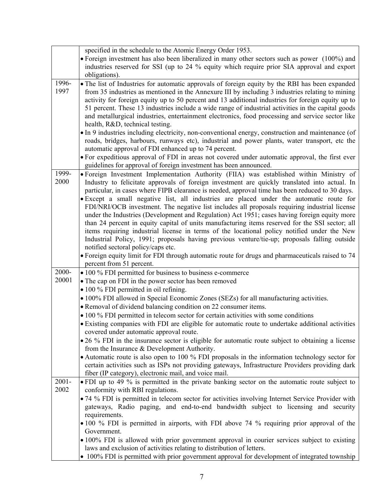|               | specified in the schedule to the Atomic Energy Order 1953.                                                                                                                                                                                                                                                                                                                                                                                                                                                                                                                                                                                                   |
|---------------|--------------------------------------------------------------------------------------------------------------------------------------------------------------------------------------------------------------------------------------------------------------------------------------------------------------------------------------------------------------------------------------------------------------------------------------------------------------------------------------------------------------------------------------------------------------------------------------------------------------------------------------------------------------|
|               | • Foreign investment has also been liberalized in many other sectors such as power (100%) and                                                                                                                                                                                                                                                                                                                                                                                                                                                                                                                                                                |
|               | industries reserved for SSI (up to 24 % equity which require prior SIA approval and export                                                                                                                                                                                                                                                                                                                                                                                                                                                                                                                                                                   |
|               | obligations).                                                                                                                                                                                                                                                                                                                                                                                                                                                                                                                                                                                                                                                |
| 1996-<br>1997 | • The list of Industries for automatic approvals of foreign equity by the RBI has been expanded<br>from 35 industries as mentioned in the Annexure III by including 3 industries relating to mining<br>activity for foreign equity up to 50 percent and 13 additional industries for foreign equity up to<br>51 percent. These 13 industries include a wide range of industrial activities in the capital goods<br>and metallurgical industries, entertainment electronics, food processing and service sector like<br>health, R&D, technical testing.<br>• In 9 industries including electricity, non-conventional energy, construction and maintenance (of |
|               | roads, bridges, harbours, runways etc), industrial and power plants, water transport, etc the<br>automatic approval of FDI enhanced up to 74 percent.                                                                                                                                                                                                                                                                                                                                                                                                                                                                                                        |
|               | • For expeditious approval of FDI in areas not covered under automatic approval, the first ever<br>guidelines for approval of foreign investment has been announced.                                                                                                                                                                                                                                                                                                                                                                                                                                                                                         |
| 1999-<br>2000 | • Foreign Investment Implementation Authority (FIIA) was established within Ministry of<br>Industry to felicitate approvals of foreign investment are quickly translated into actual. In<br>particular, in cases where FIPB clearance is needed, approval time has been reduced to 30 days.                                                                                                                                                                                                                                                                                                                                                                  |
|               | · Except a small negative list, all industries are placed under the automatic route for<br>FDI/NRI/OCB investment. The negative list includes all proposals requiring industrial license<br>under the Industries (Development and Regulation) Act 1951; cases having foreign equity more<br>than 24 percent in equity capital of units manufacturing items reserved for the SSI sector; all<br>items requiring industrial license in terms of the locational policy notified under the New<br>Industrial Policy, 1991; proposals having previous venture/tie-up; proposals falling outside<br>notified sectoral policy/caps etc.                             |
|               | • Foreign equity limit for FDI through automatic route for drugs and pharmaceuticals raised to 74                                                                                                                                                                                                                                                                                                                                                                                                                                                                                                                                                            |
|               | percent from 51 percent.                                                                                                                                                                                                                                                                                                                                                                                                                                                                                                                                                                                                                                     |
| 2000-         | • 100 % FDI permitted for business to business e-commerce                                                                                                                                                                                                                                                                                                                                                                                                                                                                                                                                                                                                    |
| 20001         | • The cap on FDI in the power sector has been removed                                                                                                                                                                                                                                                                                                                                                                                                                                                                                                                                                                                                        |
|               | • 100 % FDI permitted in oil refining.                                                                                                                                                                                                                                                                                                                                                                                                                                                                                                                                                                                                                       |
|               | • 100% FDI allowed in Special Economic Zones (SEZs) for all manufacturing activities.                                                                                                                                                                                                                                                                                                                                                                                                                                                                                                                                                                        |
|               | • Removal of dividend balancing condition on 22 consumer items.                                                                                                                                                                                                                                                                                                                                                                                                                                                                                                                                                                                              |
|               | • 100 % FDI permitted in telecom sector for certain activities with some conditions                                                                                                                                                                                                                                                                                                                                                                                                                                                                                                                                                                          |
|               | • Existing companies with FDI are eligible for automatic route to undertake additional activities<br>covered under automatic approval route.                                                                                                                                                                                                                                                                                                                                                                                                                                                                                                                 |
|               | • 26 % FDI in the insurance sector is eligible for automatic route subject to obtaining a license                                                                                                                                                                                                                                                                                                                                                                                                                                                                                                                                                            |
|               | from the Insurance $&$ Development Authority.                                                                                                                                                                                                                                                                                                                                                                                                                                                                                                                                                                                                                |
|               | • Automatic route is also open to 100 % FDI proposals in the information technology sector for<br>certain activities such as ISPs not providing gateways, Infrastructure Providers providing dark<br>fiber (IP category), electronic mail, and voice mail.                                                                                                                                                                                                                                                                                                                                                                                                   |
| $2001 -$      | • FDI up to 49 % is permitted in the private banking sector on the automatic route subject to                                                                                                                                                                                                                                                                                                                                                                                                                                                                                                                                                                |
| 2002          | conformity with RBI regulations.                                                                                                                                                                                                                                                                                                                                                                                                                                                                                                                                                                                                                             |
|               | • 74 % FDI is permitted in telecom sector for activities involving Internet Service Provider with<br>gateways, Radio paging, and end-to-end bandwidth subject to licensing and security<br>requirements.                                                                                                                                                                                                                                                                                                                                                                                                                                                     |
|               | • 100 % FDI is permitted in airports, with FDI above 74 % requiring prior approval of the                                                                                                                                                                                                                                                                                                                                                                                                                                                                                                                                                                    |
|               | Government.<br>• 100% FDI is allowed with prior government approval in courier services subject to existing                                                                                                                                                                                                                                                                                                                                                                                                                                                                                                                                                  |
|               | laws and exclusion of activities relating to distribution of letters.                                                                                                                                                                                                                                                                                                                                                                                                                                                                                                                                                                                        |
|               |                                                                                                                                                                                                                                                                                                                                                                                                                                                                                                                                                                                                                                                              |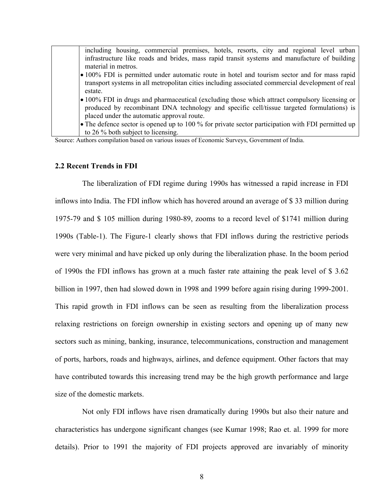| including housing, commercial premises, hotels, resorts, city and regional level urban            |
|---------------------------------------------------------------------------------------------------|
| infrastructure like roads and brides, mass rapid transit systems and manufacture of building      |
| material in metros.                                                                               |
| • 100% FDI is permitted under automatic route in hotel and tourism sector and for mass rapid      |
| transport systems in all metropolitan cities including associated commercial development of real  |
| estate.                                                                                           |
| • 100% FDI in drugs and pharmaceutical (excluding those which attract compulsory licensing or     |
| produced by recombinant DNA technology and specific cell/tissue targeted formulations) is         |
| placed under the automatic approval route.                                                        |
| • The defence sector is opened up to 100 % for private sector participation with FDI permitted up |
| to 26 % both subject to licensing.                                                                |

Source: Authors compilation based on various issues of Economic Surveys, Government of India.

# **2.2 Recent Trends in FDI**

 The liberalization of FDI regime during 1990s has witnessed a rapid increase in FDI inflows into India. The FDI inflow which has hovered around an average of \$ 33 million during 1975-79 and \$ 105 million during 1980-89, zooms to a record level of \$1741 million during 1990s (Table-1). The Figure-1 clearly shows that FDI inflows during the restrictive periods were very minimal and have picked up only during the liberalization phase. In the boom period of 1990s the FDI inflows has grown at a much faster rate attaining the peak level of \$ 3.62 billion in 1997, then had slowed down in 1998 and 1999 before again rising during 1999-2001. This rapid growth in FDI inflows can be seen as resulting from the liberalization process relaxing restrictions on foreign ownership in existing sectors and opening up of many new sectors such as mining, banking, insurance, telecommunications, construction and management of ports, harbors, roads and highways, airlines, and defence equipment. Other factors that may have contributed towards this increasing trend may be the high growth performance and large size of the domestic markets.

 Not only FDI inflows have risen dramatically during 1990s but also their nature and characteristics has undergone significant changes (see Kumar 1998; Rao et. al. 1999 for more details). Prior to 1991 the majority of FDI projects approved are invariably of minority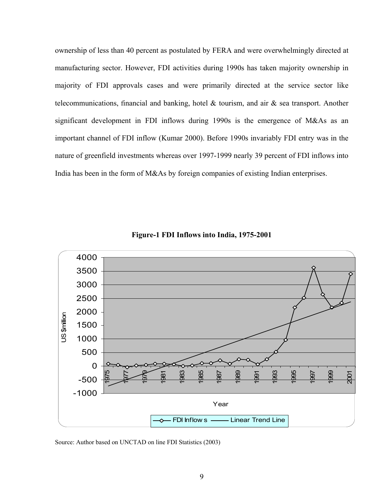ownership of less than 40 percent as postulated by FERA and were overwhelmingly directed at manufacturing sector. However, FDI activities during 1990s has taken majority ownership in majority of FDI approvals cases and were primarily directed at the service sector like telecommunications, financial and banking, hotel & tourism, and air & sea transport. Another significant development in FDI inflows during 1990s is the emergence of M&As as an important channel of FDI inflow (Kumar 2000). Before 1990s invariably FDI entry was in the nature of greenfield investments whereas over 1997-1999 nearly 39 percent of FDI inflows into India has been in the form of M&As by foreign companies of existing Indian enterprises.



**Figure-1 FDI Inflows into India, 1975-2001** 

Source: Author based on UNCTAD on line FDI Statistics (2003)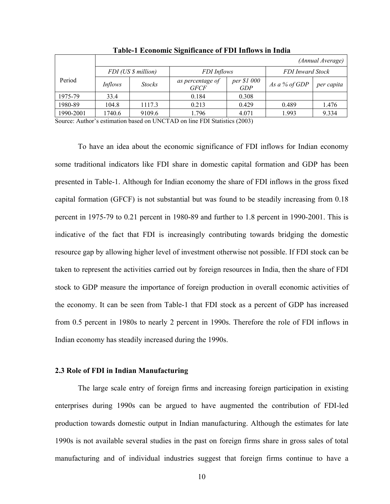|           | (Annual Average)    |               |                                 |                           |                         |            |
|-----------|---------------------|---------------|---------------------------------|---------------------------|-------------------------|------------|
|           | FDI (US \$ million) |               | FDI Inflows                     |                           | <b>FDI</b> Inward Stock |            |
| Period    | Inflows             | <b>Stocks</b> | as percentage of<br><b>GFCF</b> | per \$1 000<br><b>GDP</b> | As a % of GDP           | per capita |
| 1975-79   | 33.4                |               | 0.184                           | 0.308                     |                         |            |
| 1980-89   | 104.8               | 1117.3        | 0.213                           | 0.429                     | 0.489                   | 1.476      |
| 1990-2001 | 1740.6              | 9109.6        | 1.796                           | 4.071                     | 1.993                   | 9.334      |

**Table-1 Economic Significance of FDI Inflows in India** 

Source: Author's estimation based on UNCTAD on line FDI Statistics (2003)

To have an idea about the economic significance of FDI inflows for Indian economy some traditional indicators like FDI share in domestic capital formation and GDP has been presented in Table-1. Although for Indian economy the share of FDI inflows in the gross fixed capital formation (GFCF) is not substantial but was found to be steadily increasing from 0.18 percent in 1975-79 to 0.21 percent in 1980-89 and further to 1.8 percent in 1990-2001. This is indicative of the fact that FDI is increasingly contributing towards bridging the domestic resource gap by allowing higher level of investment otherwise not possible. If FDI stock can be taken to represent the activities carried out by foreign resources in India, then the share of FDI stock to GDP measure the importance of foreign production in overall economic activities of the economy. It can be seen from Table-1 that FDI stock as a percent of GDP has increased from 0.5 percent in 1980s to nearly 2 percent in 1990s. Therefore the role of FDI inflows in Indian economy has steadily increased during the 1990s.

### **2.3 Role of FDI in Indian Manufacturing**

The large scale entry of foreign firms and increasing foreign participation in existing enterprises during 1990s can be argued to have augmented the contribution of FDI-led production towards domestic output in Indian manufacturing. Although the estimates for late 1990s is not available several studies in the past on foreign firms share in gross sales of total manufacturing and of individual industries suggest that foreign firms continue to have a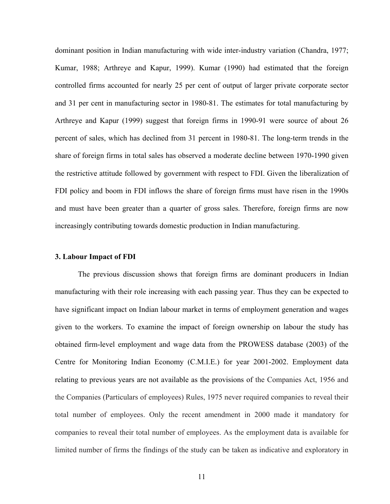dominant position in Indian manufacturing with wide inter-industry variation (Chandra, 1977; Kumar, 1988; Arthreye and Kapur, 1999). Kumar (1990) had estimated that the foreign controlled firms accounted for nearly 25 per cent of output of larger private corporate sector and 31 per cent in manufacturing sector in 1980-81. The estimates for total manufacturing by Arthreye and Kapur (1999) suggest that foreign firms in 1990-91 were source of about 26 percent of sales, which has declined from 31 percent in 1980-81. The long-term trends in the share of foreign firms in total sales has observed a moderate decline between 1970-1990 given the restrictive attitude followed by government with respect to FDI. Given the liberalization of FDI policy and boom in FDI inflows the share of foreign firms must have risen in the 1990s and must have been greater than a quarter of gross sales. Therefore, foreign firms are now increasingly contributing towards domestic production in Indian manufacturing.

#### **3. Labour Impact of FDI**

The previous discussion shows that foreign firms are dominant producers in Indian manufacturing with their role increasing with each passing year. Thus they can be expected to have significant impact on Indian labour market in terms of employment generation and wages given to the workers. To examine the impact of foreign ownership on labour the study has obtained firm-level employment and wage data from the PROWESS database (2003) of the Centre for Monitoring Indian Economy (C.M.I.E.) for year 2001-2002. Employment data relating to previous years are not available as the provisions of the Companies Act, 1956 and the Companies (Particulars of employees) Rules, 1975 never required companies to reveal their total number of employees. Only the recent amendment in 2000 made it mandatory for companies to reveal their total number of employees. As the employment data is available for limited number of firms the findings of the study can be taken as indicative and exploratory in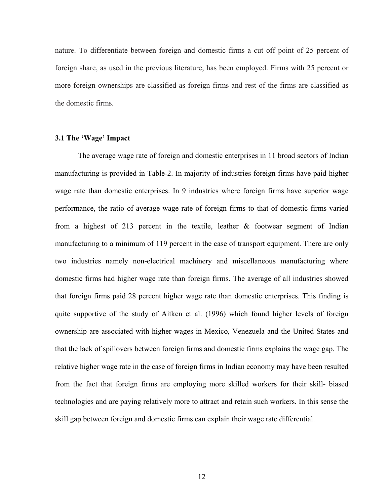nature. To differentiate between foreign and domestic firms a cut off point of 25 percent of foreign share, as used in the previous literature, has been employed. Firms with 25 percent or more foreign ownerships are classified as foreign firms and rest of the firms are classified as the domestic firms.

### **3.1 The 'Wage' Impact**

The average wage rate of foreign and domestic enterprises in 11 broad sectors of Indian manufacturing is provided in Table-2. In majority of industries foreign firms have paid higher wage rate than domestic enterprises. In 9 industries where foreign firms have superior wage performance, the ratio of average wage rate of foreign firms to that of domestic firms varied from a highest of 213 percent in the textile, leather  $\&$  footwear segment of Indian manufacturing to a minimum of 119 percent in the case of transport equipment. There are only two industries namely non-electrical machinery and miscellaneous manufacturing where domestic firms had higher wage rate than foreign firms. The average of all industries showed that foreign firms paid 28 percent higher wage rate than domestic enterprises. This finding is quite supportive of the study of Aitken et al. (1996) which found higher levels of foreign ownership are associated with higher wages in Mexico, Venezuela and the United States and that the lack of spillovers between foreign firms and domestic firms explains the wage gap. The relative higher wage rate in the case of foreign firms in Indian economy may have been resulted from the fact that foreign firms are employing more skilled workers for their skill- biased technologies and are paying relatively more to attract and retain such workers. In this sense the skill gap between foreign and domestic firms can explain their wage rate differential.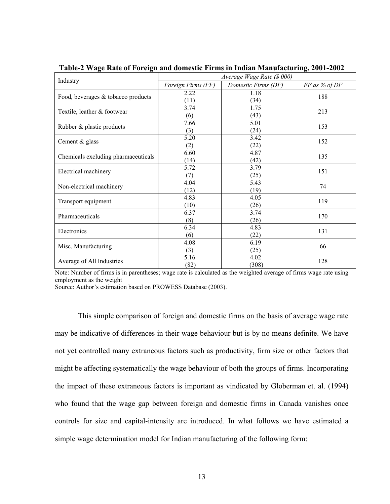| Industry                            | Average Wage Rate (\$ 000) |                     |               |  |  |
|-------------------------------------|----------------------------|---------------------|---------------|--|--|
|                                     | Foreign Firms (FF)         | Domestic Firms (DF) | FF as % of DF |  |  |
| Food, beverages & tobacco products  | 2.22                       | 1.18                | 188           |  |  |
|                                     | (11)                       | (34)                |               |  |  |
| Textile, leather & footwear         | 3.74                       | 1.75                | 213           |  |  |
|                                     | (6)                        | (43)                |               |  |  |
| Rubber & plastic products           | 7.66                       | 5.01                | 153           |  |  |
|                                     | (3)                        | (24)                |               |  |  |
| Cement & glass                      | 5.20                       | 3.42                | 152           |  |  |
|                                     | (2)                        | (22)                |               |  |  |
| Chemicals excluding pharmaceuticals | 6.60                       | 4.87                | 135           |  |  |
|                                     | (14)                       | (42)                |               |  |  |
| Electrical machinery                | 5.72                       | 3.79                | 151           |  |  |
|                                     | (7)                        | (25)                |               |  |  |
| Non-electrical machinery            | 4.04                       | 5.43                | 74            |  |  |
|                                     | (12)                       | (19)                |               |  |  |
| Transport equipment                 | 4.83                       | 4.05                | 119           |  |  |
|                                     | (10)                       | (26)                |               |  |  |
| Pharmaceuticals                     | 6.37                       | 3.74                | 170           |  |  |
|                                     | (8)                        | (26)                |               |  |  |
| Electronics                         | 6.34                       | 4.83                | 131           |  |  |
|                                     | (6)                        | (22)                |               |  |  |
| Misc. Manufacturing                 | 4.08                       | 6.19                | 66            |  |  |
|                                     | (3)                        | (25)                |               |  |  |
| Average of All Industries           | 5.16                       | 4.02                | 128           |  |  |
|                                     | (82)                       | (308)               |               |  |  |

**Table-2 Wage Rate of Foreign and domestic Firms in Indian Manufacturing, 2001-2002** 

Note: Number of firms is in parentheses; wage rate is calculated as the weighted average of firms wage rate using employment as the weight

Source: Author's estimation based on PROWESS Database (2003).

This simple comparison of foreign and domestic firms on the basis of average wage rate may be indicative of differences in their wage behaviour but is by no means definite. We have not yet controlled many extraneous factors such as productivity, firm size or other factors that might be affecting systematically the wage behaviour of both the groups of firms. Incorporating the impact of these extraneous factors is important as vindicated by Globerman et. al. (1994) who found that the wage gap between foreign and domestic firms in Canada vanishes once controls for size and capital-intensity are introduced. In what follows we have estimated a simple wage determination model for Indian manufacturing of the following form: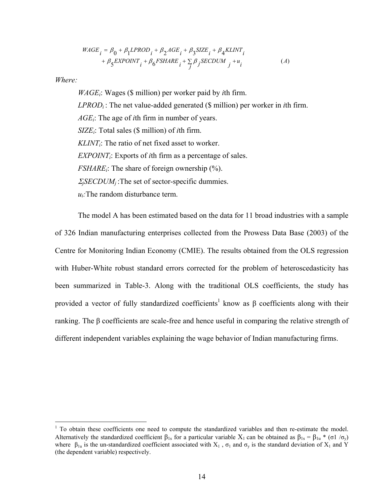$$
WAGE_i = \beta_0 + \beta_1 LPROD_i + \beta_2 AGE_i + \beta_3 SIZE_i + \beta_4 KLINKT_i
$$
  
+  $\beta_5 EXPOINT_i + \beta_6 FSHARE_i + \sum_j \beta_j SECDUM_j + u_i$  (A)

*Where:* 

 $\overline{a}$ 

*WAGEi*: Wages (\$ million) per worker paid by *i*th firm. *LPRODi* : The net value-added generated (\$ million) per worker in *i*th firm. *AGEi*: The age of *i*th firm in number of years. *SIZEi*: Total sales (\$ million) of *i*th firm. *KLINTi*: The ratio of net fixed asset to worker. *EXPOINTi*: Exports of *i*th firm as a percentage of sales. *FSHARE<sub>i</sub>*: The share of foreign ownership  $\frac{6}{6}$ . <sup>Σ</sup>*jSECDUMj* :The set of sector-specific dummies.  $u_i$ : The random disturbance term.

The model A has been estimated based on the data for 11 broad industries with a sample of 326 Indian manufacturing enterprises collected from the Prowess Data Base (2003) of the Centre for Monitoring Indian Economy (CMIE). The results obtained from the OLS regression with Huber-White robust standard errors corrected for the problem of heteroscedasticity has been summarized in Table-3. Along with the traditional OLS coefficients, the study has provided a vector of fully standardized coefficients<sup>1</sup> know as β coefficients along with their ranking. The β coefficients are scale-free and hence useful in comparing the relative strength of different independent variables explaining the wage behavior of Indian manufacturing firms.

<sup>&</sup>lt;sup>1</sup> To obtain these coefficients one need to compute the standardized variables and then re-estimate the model. Alternatively the standardized coefficient  $\beta_{1s}$  for a particular variable  $X_1$  can be obtained as  $\beta_{1s} = \beta_{1u} * (\sigma \mathbf{1} / \sigma_v)$ where  $\beta_{1u}$  is the un-standardized coefficient associated with  $X_1$ ,  $\sigma_1$  and  $\sigma_v$  is the standard deviation of  $X_1$  and Y (the dependent variable) respectively.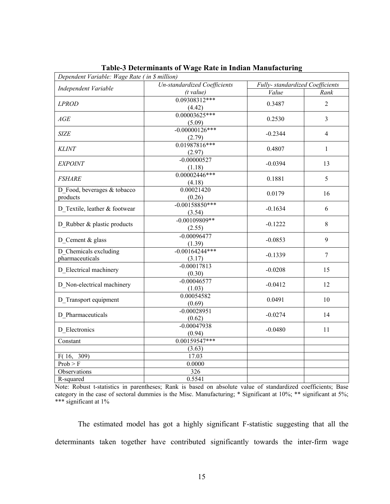| Dependent Variable: Wage Rate (in \$ million) |                                     |                                  |                |  |
|-----------------------------------------------|-------------------------------------|----------------------------------|----------------|--|
| Independent Variable                          | <b>Un-standardized Coefficients</b> | Fully- standardized Coefficients |                |  |
|                                               | (t value)                           | Value                            | Rank           |  |
| <b>LPROD</b>                                  | $0.09308312***$<br>(4.42)           | 0.3487                           | $\overline{2}$ |  |
| AGE                                           | $0.00003625***$<br>(5.09)           | 0.2530                           | $\overline{3}$ |  |
| <b>SIZE</b>                                   | $-0.00000126***$<br>(2.79)          | $-0.2344$                        | 4              |  |
| <b>KLINT</b>                                  | 0.01987816***<br>(2.97)             | 0.4807                           | $\mathbf{1}$   |  |
| <b>EXPOINT</b>                                | $-0.00000527$<br>(1.18)             | $-0.0394$                        | 13             |  |
| <b>FSHARE</b>                                 | $0.00002446***$<br>(4.18)           | 0.1881                           | 5              |  |
| D Food, beverages & tobacco<br>products       | 0.00021420<br>(0.26)                | 0.0179                           | 16             |  |
| D Textile, leather & footwear                 | $-0.00158850***$<br>(3.54)          | $-0.1634$                        | 6              |  |
| D_Rubber & plastic products                   | $-0.00109809**$<br>(2.55)           | $-0.1222$                        | 8              |  |
| D Cement & glass                              | $-0.00096477$<br>(1.39)             | $-0.0853$                        | 9              |  |
| D Chemicals excluding<br>pharmaceuticals      | $-0.00164244***$<br>(3.17)          | $-0.1339$                        | $\overline{7}$ |  |
| D_Electrical machinery                        | $-0.00017813$<br>(0.30)             | $-0.0208$                        | 15             |  |
| D Non-electrical machinery                    | $-0.00046577$<br>(1.03)             | $-0.0412$                        | 12             |  |
| D Transport equipment                         | 0.00054582<br>(0.69)                | 0.0491                           | 10             |  |
| D Pharmaceuticals                             | $-0.00028951$<br>(0.62)             | $-0.0274$                        | 14             |  |
| D Electronics                                 | $-0.00047938$<br>(0.94)             | $-0.0480$                        | 11             |  |
| Constant                                      | 0.00159547***                       |                                  |                |  |
|                                               | (3.63)                              |                                  |                |  |
| F(16, 309)                                    | 17.03                               |                                  |                |  |
| Prob > F                                      | 0.0000                              |                                  |                |  |
| Observations                                  | 326                                 |                                  |                |  |
| R-squared                                     | 0.5541                              |                                  |                |  |

**Table-3 Determinants of Wage Rate in Indian Manufacturing**

Note: Robust t-statistics in parentheses; Rank is based on absolute value of standardized coefficients; Base category in the case of sectoral dummies is the Misc. Manufacturing; \* Significant at 10%; \*\* significant at 5%; \*\*\* significant at 1%

The estimated model has got a highly significant F-statistic suggesting that all the determinants taken together have contributed significantly towards the inter-firm wage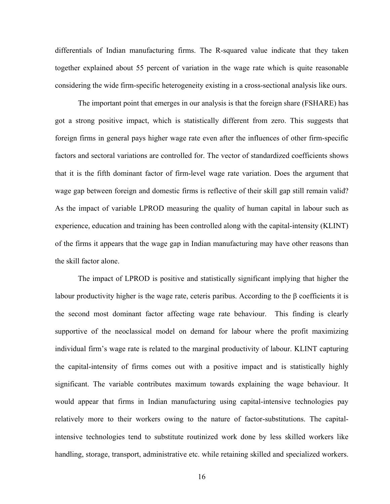differentials of Indian manufacturing firms. The R-squared value indicate that they taken together explained about 55 percent of variation in the wage rate which is quite reasonable considering the wide firm-specific heterogeneity existing in a cross-sectional analysis like ours.

The important point that emerges in our analysis is that the foreign share (FSHARE) has got a strong positive impact, which is statistically different from zero. This suggests that foreign firms in general pays higher wage rate even after the influences of other firm-specific factors and sectoral variations are controlled for. The vector of standardized coefficients shows that it is the fifth dominant factor of firm-level wage rate variation. Does the argument that wage gap between foreign and domestic firms is reflective of their skill gap still remain valid? As the impact of variable LPROD measuring the quality of human capital in labour such as experience, education and training has been controlled along with the capital-intensity (KLINT) of the firms it appears that the wage gap in Indian manufacturing may have other reasons than the skill factor alone.

The impact of LPROD is positive and statistically significant implying that higher the labour productivity higher is the wage rate, ceteris paribus. According to the β coefficients it is the second most dominant factor affecting wage rate behaviour. This finding is clearly supportive of the neoclassical model on demand for labour where the profit maximizing individual firm's wage rate is related to the marginal productivity of labour. KLINT capturing the capital-intensity of firms comes out with a positive impact and is statistically highly significant. The variable contributes maximum towards explaining the wage behaviour. It would appear that firms in Indian manufacturing using capital-intensive technologies pay relatively more to their workers owing to the nature of factor-substitutions. The capitalintensive technologies tend to substitute routinized work done by less skilled workers like handling, storage, transport, administrative etc. while retaining skilled and specialized workers.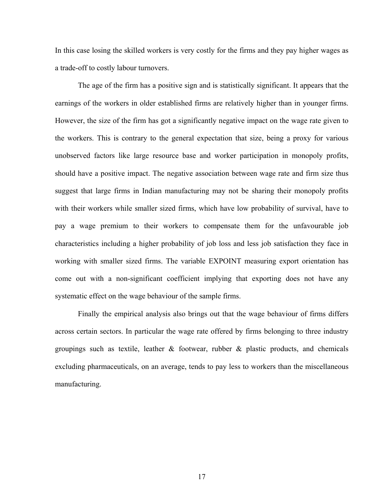In this case losing the skilled workers is very costly for the firms and they pay higher wages as a trade-off to costly labour turnovers.

The age of the firm has a positive sign and is statistically significant. It appears that the earnings of the workers in older established firms are relatively higher than in younger firms. However, the size of the firm has got a significantly negative impact on the wage rate given to the workers. This is contrary to the general expectation that size, being a proxy for various unobserved factors like large resource base and worker participation in monopoly profits, should have a positive impact. The negative association between wage rate and firm size thus suggest that large firms in Indian manufacturing may not be sharing their monopoly profits with their workers while smaller sized firms, which have low probability of survival, have to pay a wage premium to their workers to compensate them for the unfavourable job characteristics including a higher probability of job loss and less job satisfaction they face in working with smaller sized firms. The variable EXPOINT measuring export orientation has come out with a non-significant coefficient implying that exporting does not have any systematic effect on the wage behaviour of the sample firms.

Finally the empirical analysis also brings out that the wage behaviour of firms differs across certain sectors. In particular the wage rate offered by firms belonging to three industry groupings such as textile, leather  $\&$  footwear, rubber  $\&$  plastic products, and chemicals excluding pharmaceuticals, on an average, tends to pay less to workers than the miscellaneous manufacturing.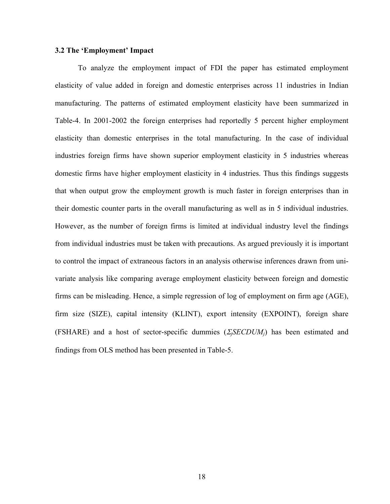#### **3.2 The 'Employment' Impact**

To analyze the employment impact of FDI the paper has estimated employment elasticity of value added in foreign and domestic enterprises across 11 industries in Indian manufacturing. The patterns of estimated employment elasticity have been summarized in Table-4. In 2001-2002 the foreign enterprises had reportedly 5 percent higher employment elasticity than domestic enterprises in the total manufacturing. In the case of individual industries foreign firms have shown superior employment elasticity in 5 industries whereas domestic firms have higher employment elasticity in 4 industries. Thus this findings suggests that when output grow the employment growth is much faster in foreign enterprises than in their domestic counter parts in the overall manufacturing as well as in 5 individual industries. However, as the number of foreign firms is limited at individual industry level the findings from individual industries must be taken with precautions. As argued previously it is important to control the impact of extraneous factors in an analysis otherwise inferences drawn from univariate analysis like comparing average employment elasticity between foreign and domestic firms can be misleading. Hence, a simple regression of log of employment on firm age (AGE), firm size (SIZE), capital intensity (KLINT), export intensity (EXPOINT), foreign share (FSHARE) and a host of sector-specific dummies (<sup>Σ</sup>*jSECDUMj*) has been estimated and findings from OLS method has been presented in Table-5.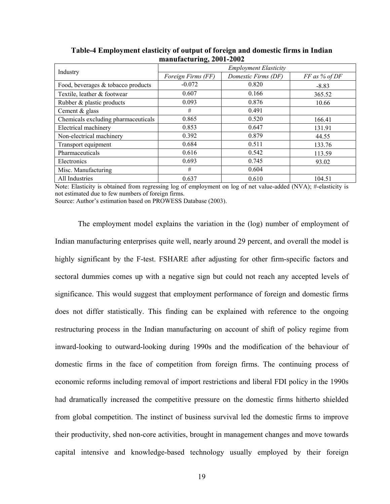|                                     | $\rightarrow$                |                     |               |  |
|-------------------------------------|------------------------------|---------------------|---------------|--|
|                                     | <b>Employment Elasticity</b> |                     |               |  |
| Industry                            | Foreign Firms (FF)           | Domestic Firms (DF) | FF as % of DF |  |
| Food, beverages & tobacco products  | $-0.072$                     | 0.820               | $-8.83$       |  |
| Textile, leather & footwear         | 0.607                        | 0.166               | 365.52        |  |
| Rubber & plastic products           | 0.093                        | 0.876               | 10.66         |  |
| Cement & glass                      | #                            | 0.491               |               |  |
| Chemicals excluding pharmaceuticals | 0.865                        | 0.520               | 166.41        |  |
| Electrical machinery                | 0.853                        | 0.647               | 131.91        |  |
| Non-electrical machinery            | 0.392                        | 0.879               | 44.55         |  |
| Transport equipment                 | 0.684                        | 0.511               | 133.76        |  |
| Pharmaceuticals                     | 0.616                        | 0.542               | 113.59        |  |
| Electronics                         | 0.693                        | 0.745               | 93.02         |  |
| Misc. Manufacturing                 | #                            | 0.604               |               |  |
| All Industries                      | 0.637                        | 0.610               | 104.51        |  |

**Table-4 Employment elasticity of output of foreign and domestic firms in Indian manufacturing, 2001-2002** 

Note: Elasticity is obtained from regressing log of employment on log of net value-added (NVA); #-elasticity is not estimated due to few numbers of foreign firms.

Source: Author's estimation based on PROWESS Database (2003).

The employment model explains the variation in the (log) number of employment of Indian manufacturing enterprises quite well, nearly around 29 percent, and overall the model is highly significant by the F-test. FSHARE after adjusting for other firm-specific factors and sectoral dummies comes up with a negative sign but could not reach any accepted levels of significance. This would suggest that employment performance of foreign and domestic firms does not differ statistically. This finding can be explained with reference to the ongoing restructuring process in the Indian manufacturing on account of shift of policy regime from inward-looking to outward-looking during 1990s and the modification of the behaviour of domestic firms in the face of competition from foreign firms. The continuing process of economic reforms including removal of import restrictions and liberal FDI policy in the 1990s had dramatically increased the competitive pressure on the domestic firms hitherto shielded from global competition. The instinct of business survival led the domestic firms to improve their productivity, shed non-core activities, brought in management changes and move towards capital intensive and knowledge-based technology usually employed by their foreign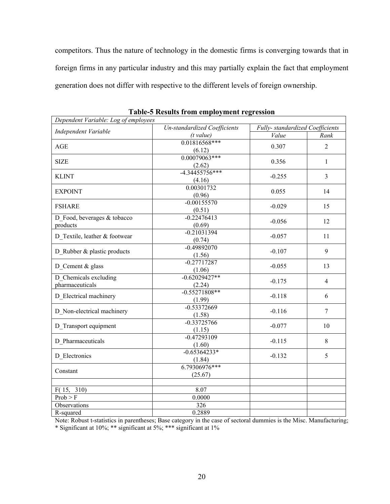competitors. Thus the nature of technology in the domestic firms is converging towards that in foreign firms in any particular industry and this may partially explain the fact that employment generation does not differ with respective to the different levels of foreign ownership.

| Dependent Variable: Log of employees |                                     |                                 |                |  |
|--------------------------------------|-------------------------------------|---------------------------------|----------------|--|
| Independent Variable                 | <b>Un-standardized Coefficients</b> | Fully-standardized Coefficients |                |  |
|                                      | (t value)                           | Value                           | Rank           |  |
| <b>AGE</b>                           | 0.01816568***                       | 0.307                           | $\overline{2}$ |  |
|                                      | (6.12)                              |                                 |                |  |
| <b>SIZE</b>                          | $0.00079063***$                     | 0.356                           | $\mathbf{1}$   |  |
|                                      | (2.62)                              |                                 |                |  |
| <b>KLINT</b>                         | $-4.34455756***$                    | $-0.255$                        | $\overline{3}$ |  |
|                                      | (4.16)                              |                                 |                |  |
| <b>EXPOINT</b>                       | 0.00301732                          | 0.055                           | 14             |  |
|                                      | (0.96)                              |                                 |                |  |
| <b>FSHARE</b>                        | $-0.00155570$                       | $-0.029$                        | 15             |  |
|                                      | (0.51)                              |                                 |                |  |
| D Food, beverages & tobacco          | $-0.22476413$                       | $-0.056$                        | 12             |  |
| products                             | (0.69)                              |                                 |                |  |
| D Textile, leather & footwear        | $-0.21031394$                       | $-0.057$                        | 11             |  |
|                                      | (0.74)                              |                                 |                |  |
| D Rubber & plastic products          | $-0.49892070$                       | $-0.107$                        | 9              |  |
|                                      | (1.56)                              |                                 |                |  |
| D Cement & glass                     | $-0.27717287$                       | $-0.055$                        | 13             |  |
|                                      | (1.06)                              |                                 |                |  |
| D Chemicals excluding                | $-0.62029427**$                     | $-0.175$                        | 4              |  |
| pharmaceuticals                      | (2.24)                              |                                 |                |  |
| D Electrical machinery               | $-0.55271808**$                     | $-0.118$                        | 6              |  |
|                                      | (1.99)                              |                                 |                |  |
| D Non-electrical machinery           | $-0.53372669$                       | $-0.116$                        | $\tau$         |  |
|                                      | (1.58)                              |                                 |                |  |
| D Transport equipment                | $-0.33725766$                       | $-0.077$                        | 10             |  |
|                                      | (1.15)                              |                                 |                |  |
| D Pharmaceuticals                    | $-0.47293109$                       | $-0.115$                        | 8              |  |
|                                      | (1.60)                              |                                 |                |  |
| D_Electronics                        | $-0.65364233*$                      | $-0.132$                        | 5              |  |
|                                      | (1.84)                              |                                 |                |  |
| Constant                             | 6.79306976***                       |                                 |                |  |
|                                      | (25.67)                             |                                 |                |  |
|                                      |                                     |                                 |                |  |
| F(15,<br>310)                        | 8.07                                |                                 |                |  |
| Prob > F                             | 0.0000                              |                                 |                |  |
| Observations                         | 326                                 |                                 |                |  |
| R-squared                            | 0.2889                              |                                 |                |  |

**Table-5 Results from employment regression** 

Note: Robust t-statistics in parentheses; Base category in the case of sectoral dummies is the Misc. Manufacturing; \* Significant at 10%; \*\* significant at 5%; \*\*\* significant at 1%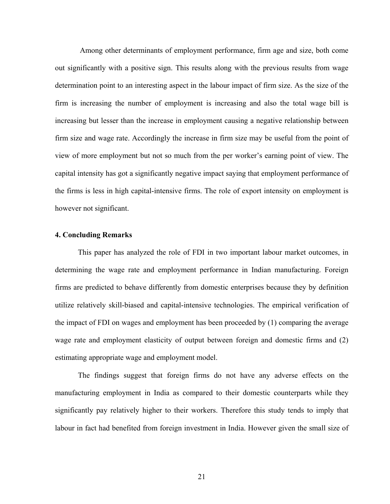Among other determinants of employment performance, firm age and size, both come out significantly with a positive sign. This results along with the previous results from wage determination point to an interesting aspect in the labour impact of firm size. As the size of the firm is increasing the number of employment is increasing and also the total wage bill is increasing but lesser than the increase in employment causing a negative relationship between firm size and wage rate. Accordingly the increase in firm size may be useful from the point of view of more employment but not so much from the per worker's earning point of view. The capital intensity has got a significantly negative impact saying that employment performance of the firms is less in high capital-intensive firms. The role of export intensity on employment is however not significant.

# **4. Concluding Remarks**

This paper has analyzed the role of FDI in two important labour market outcomes, in determining the wage rate and employment performance in Indian manufacturing. Foreign firms are predicted to behave differently from domestic enterprises because they by definition utilize relatively skill-biased and capital-intensive technologies. The empirical verification of the impact of FDI on wages and employment has been proceeded by (1) comparing the average wage rate and employment elasticity of output between foreign and domestic firms and (2) estimating appropriate wage and employment model.

The findings suggest that foreign firms do not have any adverse effects on the manufacturing employment in India as compared to their domestic counterparts while they significantly pay relatively higher to their workers. Therefore this study tends to imply that labour in fact had benefited from foreign investment in India. However given the small size of